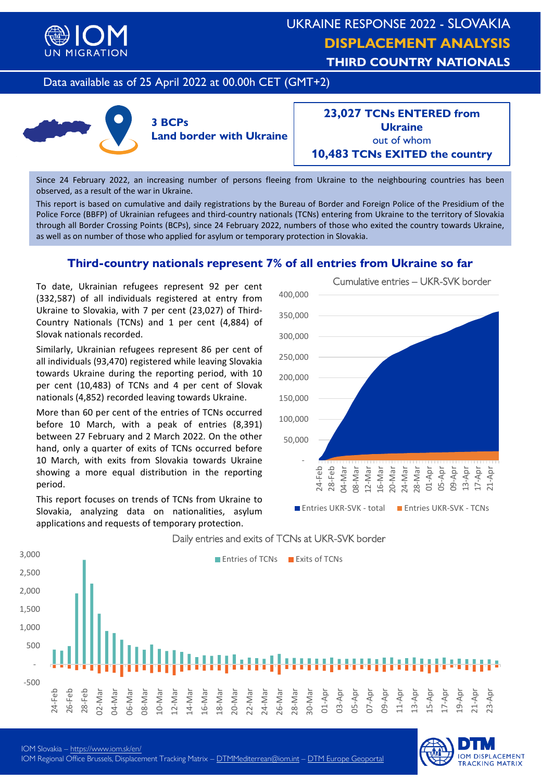

# UKRAINE RESPONSE 2022 - SLOVAKIA **DISPLACEMENT ANALYSIS THIRD COUNTRY NATIONALS**

## Data available as of 25 April 2022 at 00.00h CET (GMT+2)



**23,027 TCNs ENTERED from Ukraine** out of whom **10,483 TCNs EXITED the country**

Since 24 February 2022, an increasing number of persons fleeing from Ukraine to the neighbouring countries has been observed, as a result of the war in Ukraine.

This report is based on cumulative and daily registrations by the Bureau of Border and Foreign Police of the Presidium of the Police Force (BBFP) of Ukrainian refugees and third-country nationals (TCNs) entering from Ukraine to the territory of Slovakia through all Border Crossing Points (BCPs), since 24 February 2022, numbers of those who exited the country towards Ukraine, as well as on number of those who applied for asylum or temporary protection in Slovakia.

## **Third-country nationals represent 7% of all entries from Ukraine so far**

To date, Ukrainian refugees represent 92 per cent (332,587) of all individuals registered at entry from Ukraine to Slovakia, with 7 per cent (23,027) of Third-Country Nationals (TCNs) and 1 per cent (4,884) of Slovak nationals recorded.

Similarly, Ukrainian refugees represent 86 per cent of all individuals (93,470) registered while leaving Slovakia towards Ukraine during the reporting period, with 10 per cent (10,483) of TCNs and 4 per cent of Slovak nationals (4,852) recorded leaving towards Ukraine.

More than 60 per cent of the entries of TCNs occurred before 10 March, with a peak of entries (8,391) between 27 February and 2 March 2022. On the other hand, only a quarter of exits of TCNs occurred before 10 March, with exits from Slovakia towards Ukraine showing a more equal distribution in the reporting period.

This report focuses on trends of TCNs from Ukraine to Slovakia, analyzing data on nationalities, asylum applications and requests of temporary protection.





#### Daily entries and exits of TCNs at UKR-SVK border

**IOM DISPLACEMENT**<br>TRACKING MATRIX

IOM Slovakia – <https://www.iom.sk/en/> IOM Regional Office Brussels, [D](mailto:DTMMediterrean@iom.int)isplacement Tracking Matrix – D[TMMediterrean@iom.i](mailto:DTMMediterranean@iom.int)[nt](mailto:DTMMediterrean@iom.int) – [DTM Europe Geop](https://migration.iom.int/europe?type=arrivals)[ortal](https://migration.iom.int/europe/arrivals?type=arrivals)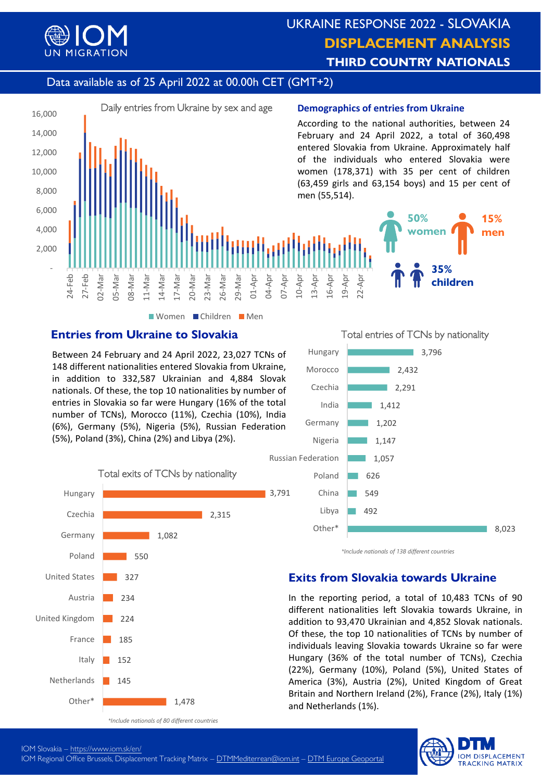

# UKRAINE RESPONSE 2022 - SLOVAKIA **DISPLACEMENT ANALYSIS THIRD COUNTRY NATIONALS**

# Data available as of 25 April 2022 at 00.00h CET (GMT+2)



Women Children Men

## **Entries from Ukraine to Slovakia**

Between 24 February and 24 April 2022, 23,027 TCNs of 148 different nationalities entered Slovakia from Ukraine, in addition to 332,587 Ukrainian and 4,884 Slovak nationals. Of these, the top 10 nationalities by number of entries in Slovakia so far were Hungary (16% of the total number of TCNs), Morocco (11%), Czechia (10%), India (6%), Germany (5%), Nigeria (5%), Russian Federation (5%), Poland (3%), China (2%) and Libya (2%).



Total entries of TCNs by nationality



*<sup>\*</sup>Include nationals of 138 different countries*

#### **Exits from Slovakia towards Ukraine**

In the reporting period, a total of 10,483 TCNs of 90 different nationalities left Slovakia towards Ukraine, in addition to 93,470 Ukrainian and 4,852 Slovak nationals. Of these, the top 10 nationalities of TCNs by number of individuals leaving Slovakia towards Ukraine so far were Hungary (36% of the total number of TCNs), Czechia (22%), Germany (10%), Poland (5%), United States of America (3%), Austria (2%), United Kingdom of Great Britain and Northern Ireland (2%), France (2%), Italy (1%) and Netherlands (1%).



IOM Slovakia – <https://www.iom.sk/en/>